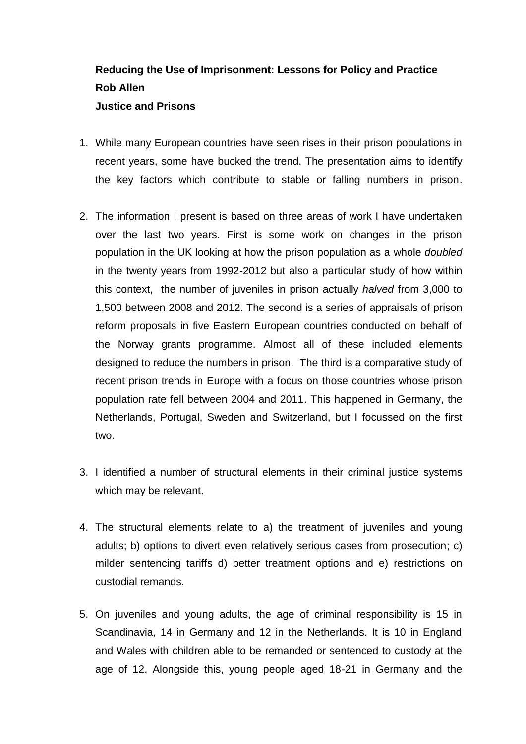## **Reducing the Use of Imprisonment: Lessons for Policy and Practice Rob Allen Justice and Prisons**

- 1. While many European countries have seen rises in their prison populations in recent years, some have bucked the trend. The presentation aims to identify the key factors which contribute to stable or falling numbers in prison.
- 2. The information I present is based on three areas of work I have undertaken over the last two years. First is some work on changes in the prison population in the UK looking at how the prison population as a whole *doubled* in the twenty years from 1992-2012 but also a particular study of how within this context, the number of juveniles in prison actually *halved* from 3,000 to 1,500 between 2008 and 2012. The second is a series of appraisals of prison reform proposals in five Eastern European countries conducted on behalf of the Norway grants programme. Almost all of these included elements designed to reduce the numbers in prison. The third is a comparative study of recent prison trends in Europe with a focus on those countries whose prison population rate fell between 2004 and 2011. This happened in Germany, the Netherlands, Portugal, Sweden and Switzerland, but I focussed on the first two.
- 3. I identified a number of structural elements in their criminal justice systems which may be relevant.
- 4. The structural elements relate to a) the treatment of juveniles and young adults; b) options to divert even relatively serious cases from prosecution; c) milder sentencing tariffs d) better treatment options and e) restrictions on custodial remands.
- 5. On juveniles and young adults, the age of criminal responsibility is 15 in Scandinavia, 14 in Germany and 12 in the Netherlands. It is 10 in England and Wales with children able to be remanded or sentenced to custody at the age of 12. Alongside this, young people aged 18-21 in Germany and the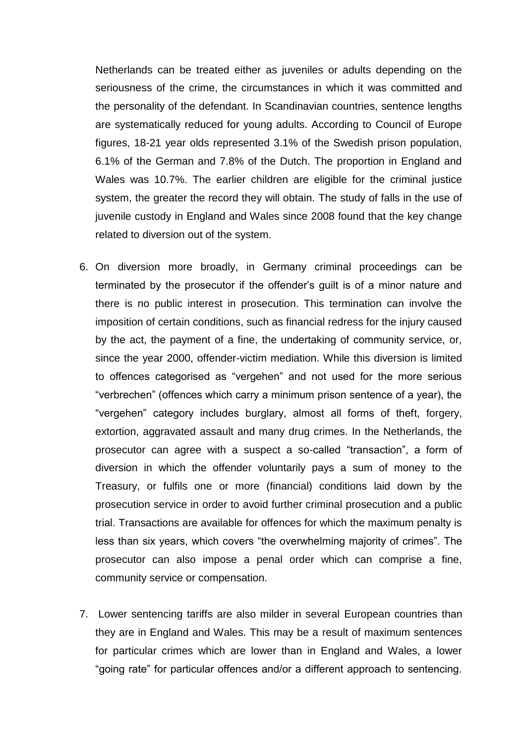Netherlands can be treated either as juveniles or adults depending on the seriousness of the crime, the circumstances in which it was committed and the personality of the defendant. In Scandinavian countries, sentence lengths are systematically reduced for young adults. According to Council of Europe figures, 18-21 year olds represented 3.1% of the Swedish prison population, 6.1% of the German and 7.8% of the Dutch. The proportion in England and Wales was 10.7%. The earlier children are eligible for the criminal justice system, the greater the record they will obtain. The study of falls in the use of juvenile custody in England and Wales since 2008 found that the key change related to diversion out of the system.

- 6. On diversion more broadly, in Germany criminal proceedings can be terminated by the prosecutor if the offender's guilt is of a minor nature and there is no public interest in prosecution. This termination can involve the imposition of certain conditions, such as financial redress for the injury caused by the act, the payment of a fine, the undertaking of community service, or, since the year 2000, offender-victim mediation. While this diversion is limited to offences categorised as "vergehen" and not used for the more serious "verbrechen" (offences which carry a minimum prison sentence of a year), the "vergehen" category includes burglary, almost all forms of theft, forgery, extortion, aggravated assault and many drug crimes. In the Netherlands, the prosecutor can agree with a suspect a so-called "transaction", a form of diversion in which the offender voluntarily pays a sum of money to the Treasury, or fulfils one or more (financial) conditions laid down by the prosecution service in order to avoid further criminal prosecution and a public trial. Transactions are available for offences for which the maximum penalty is less than six years, which covers "the overwhelming majority of crimes". The prosecutor can also impose a penal order which can comprise a fine, community service or compensation.
- 7. Lower sentencing tariffs are also milder in several European countries than they are in England and Wales. This may be a result of maximum sentences for particular crimes which are lower than in England and Wales, a lower "going rate" for particular offences and/or a different approach to sentencing.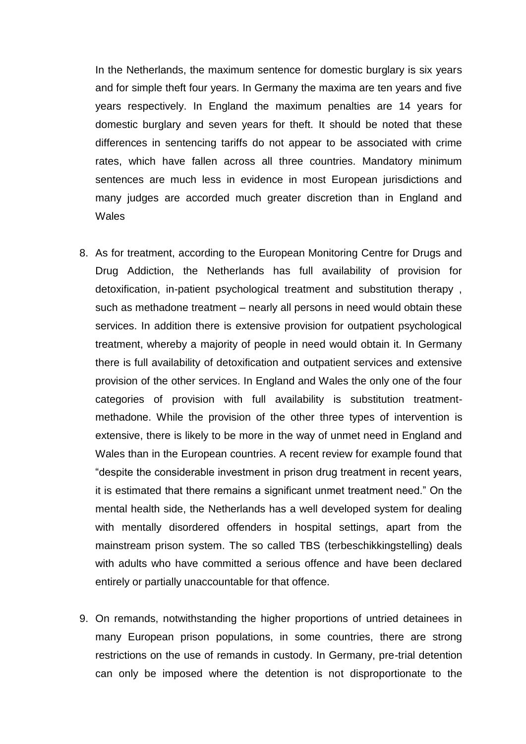In the Netherlands, the maximum sentence for domestic burglary is six years and for simple theft four years. In Germany the maxima are ten years and five years respectively. In England the maximum penalties are 14 years for domestic burglary and seven years for theft. It should be noted that these differences in sentencing tariffs do not appear to be associated with crime rates, which have fallen across all three countries. Mandatory minimum sentences are much less in evidence in most European jurisdictions and many judges are accorded much greater discretion than in England and **Wales** 

- 8. As for treatment, according to the European Monitoring Centre for Drugs and Drug Addiction, the Netherlands has full availability of provision for detoxification, in-patient psychological treatment and substitution therapy , such as methadone treatment – nearly all persons in need would obtain these services. In addition there is extensive provision for outpatient psychological treatment, whereby a majority of people in need would obtain it. In Germany there is full availability of detoxification and outpatient services and extensive provision of the other services. In England and Wales the only one of the four categories of provision with full availability is substitution treatmentmethadone. While the provision of the other three types of intervention is extensive, there is likely to be more in the way of unmet need in England and Wales than in the European countries. A recent review for example found that "despite the considerable investment in prison drug treatment in recent years, it is estimated that there remains a significant unmet treatment need." On the mental health side, the Netherlands has a well developed system for dealing with mentally disordered offenders in hospital settings, apart from the mainstream prison system. The so called TBS (terbeschikkingstelling) deals with adults who have committed a serious offence and have been declared entirely or partially unaccountable for that offence.
- 9. On remands, notwithstanding the higher proportions of untried detainees in many European prison populations, in some countries, there are strong restrictions on the use of remands in custody. In Germany, pre-trial detention can only be imposed where the detention is not disproportionate to the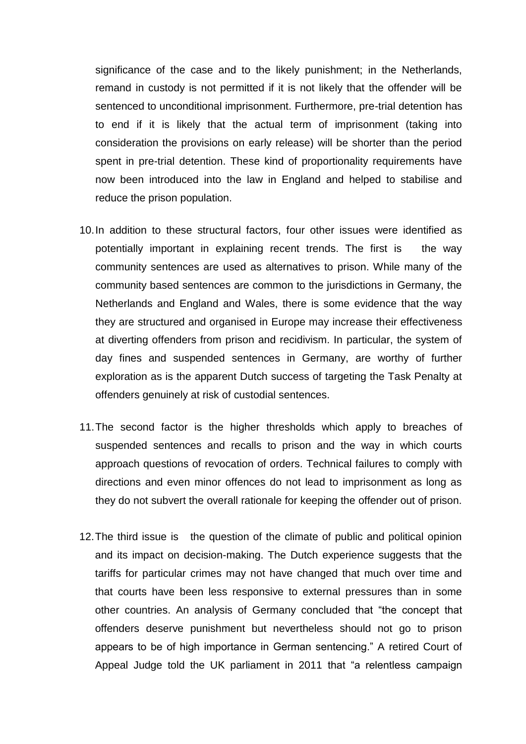significance of the case and to the likely punishment; in the Netherlands, remand in custody is not permitted if it is not likely that the offender will be sentenced to unconditional imprisonment. Furthermore, pre-trial detention has to end if it is likely that the actual term of imprisonment (taking into consideration the provisions on early release) will be shorter than the period spent in pre-trial detention. These kind of proportionality requirements have now been introduced into the law in England and helped to stabilise and reduce the prison population.

- 10.In addition to these structural factors, four other issues were identified as potentially important in explaining recent trends. The first is the way community sentences are used as alternatives to prison. While many of the community based sentences are common to the jurisdictions in Germany, the Netherlands and England and Wales, there is some evidence that the way they are structured and organised in Europe may increase their effectiveness at diverting offenders from prison and recidivism. In particular, the system of day fines and suspended sentences in Germany, are worthy of further exploration as is the apparent Dutch success of targeting the Task Penalty at offenders genuinely at risk of custodial sentences.
- 11.The second factor is the higher thresholds which apply to breaches of suspended sentences and recalls to prison and the way in which courts approach questions of revocation of orders. Technical failures to comply with directions and even minor offences do not lead to imprisonment as long as they do not subvert the overall rationale for keeping the offender out of prison.
- 12.The third issue is the question of the climate of public and political opinion and its impact on decision-making. The Dutch experience suggests that the tariffs for particular crimes may not have changed that much over time and that courts have been less responsive to external pressures than in some other countries. An analysis of Germany concluded that "the concept that offenders deserve punishment but nevertheless should not go to prison appears to be of high importance in German sentencing." A retired Court of Appeal Judge told the UK parliament in 2011 that "a relentless campaign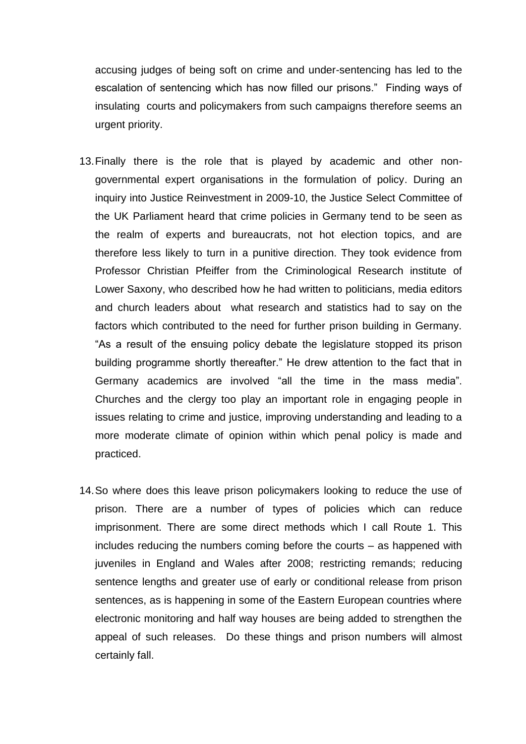accusing judges of being soft on crime and under-sentencing has led to the escalation of sentencing which has now filled our prisons." Finding ways of insulating courts and policymakers from such campaigns therefore seems an urgent priority.

- 13.Finally there is the role that is played by academic and other nongovernmental expert organisations in the formulation of policy. During an inquiry into Justice Reinvestment in 2009-10, the Justice Select Committee of the UK Parliament heard that crime policies in Germany tend to be seen as the realm of experts and bureaucrats, not hot election topics, and are therefore less likely to turn in a punitive direction. They took evidence from Professor Christian Pfeiffer from the Criminological Research institute of Lower Saxony, who described how he had written to politicians, media editors and church leaders about what research and statistics had to say on the factors which contributed to the need for further prison building in Germany. "As a result of the ensuing policy debate the legislature stopped its prison building programme shortly thereafter." He drew attention to the fact that in Germany academics are involved "all the time in the mass media". Churches and the clergy too play an important role in engaging people in issues relating to crime and justice, improving understanding and leading to a more moderate climate of opinion within which penal policy is made and practiced.
- 14.So where does this leave prison policymakers looking to reduce the use of prison. There are a number of types of policies which can reduce imprisonment. There are some direct methods which I call Route 1. This includes reducing the numbers coming before the courts – as happened with juveniles in England and Wales after 2008; restricting remands; reducing sentence lengths and greater use of early or conditional release from prison sentences, as is happening in some of the Eastern European countries where electronic monitoring and half way houses are being added to strengthen the appeal of such releases. Do these things and prison numbers will almost certainly fall.